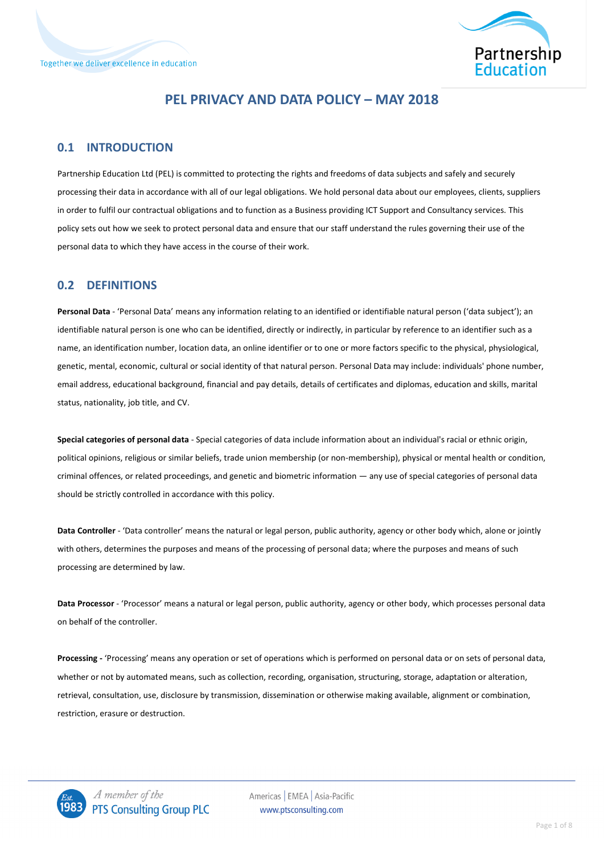

### **PEL PRIVACY AND DATA POLICY – MAY 2018**

#### **0.1 INTRODUCTION**

Partnership Education Ltd (PEL) is committed to protecting the rights and freedoms of data subjects and safely and securely processing their data in accordance with all of our legal obligations. We hold personal data about our employees, clients, suppliers in order to fulfil our contractual obligations and to function as a Business providing ICT Support and Consultancy services. This policy sets out how we seek to protect personal data and ensure that our staff understand the rules governing their use of the personal data to which they have access in the course of their work.

### **0.2 DEFINITIONS**

**Personal Data** - 'Personal Data' means any information relating to an identified or identifiable natural person ('data subject'); an identifiable natural person is one who can be identified, directly or indirectly, in particular by reference to an identifier such as a name, an identification number, location data, an online identifier or to one or more factors specific to the physical, physiological, genetic, mental, economic, cultural or social identity of that natural person. Personal Data may include: individuals' phone number, email address, educational background, financial and pay details, details of certificates and diplomas, education and skills, marital status, nationality, job title, and CV.

**Special categories of personal data** - Special categories of data include information about an individual's racial or ethnic origin, political opinions, religious or similar beliefs, trade union membership (or non-membership), physical or mental health or condition, criminal offences, or related proceedings, and genetic and biometric information — any use of special categories of personal data should be strictly controlled in accordance with this policy.

**Data Controller** - 'Data controller' means the natural or legal person, public authority, agency or other body which, alone or jointly with others, determines the purposes and means of the processing of personal data; where the purposes and means of such processing are determined by law.

**Data Processor** - 'Processor' means a natural or legal person, public authority, agency or other body, which processes personal data on behalf of the controller.

**Processing -** 'Processing' means any operation or set of operations which is performed on personal data or on sets of personal data, whether or not by automated means, such as collection, recording, organisation, structuring, storage, adaptation or alteration, retrieval, consultation, use, disclosure by transmission, dissemination or otherwise making available, alignment or combination, restriction, erasure or destruction.

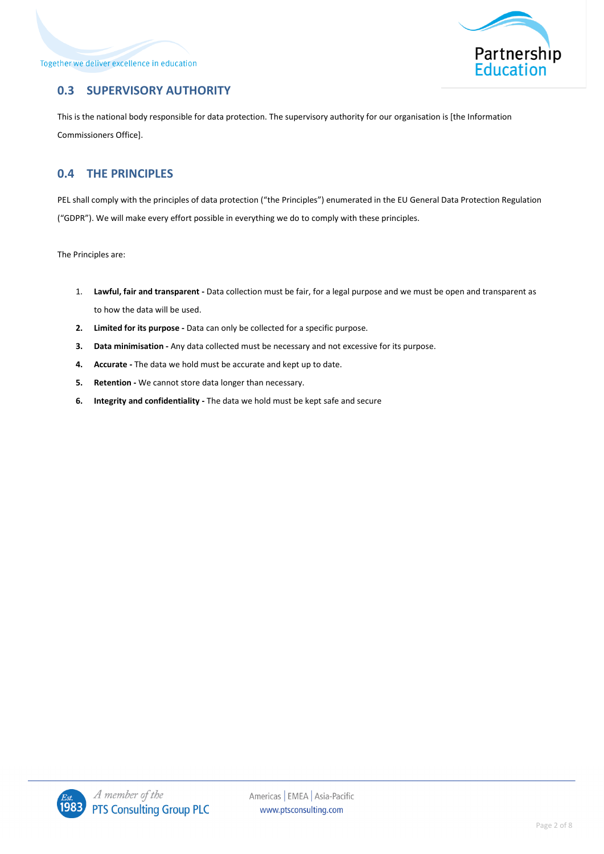Together we deliver excellence in education



## **0.3 SUPERVISORY AUTHORITY**

This is the national body responsible for data protection. The supervisory authority for our organisation is [the Information Commissioners Office].

### **0.4 THE PRINCIPLES**

PEL shall comply with the principles of data protection ("the Principles") enumerated in the EU General Data Protection Regulation ("GDPR"). We will make every effort possible in everything we do to comply with these principles.

The Principles are:

- 1. **Lawful, fair and transparent -** Data collection must be fair, for a legal purpose and we must be open and transparent as to how the data will be used.
- **2. Limited for its purpose -** Data can only be collected for a specific purpose.
- **3. Data minimisation -** Any data collected must be necessary and not excessive for its purpose.
- **4. Accurate -** The data we hold must be accurate and kept up to date.
- **5. Retention -** We cannot store data longer than necessary.
- **6. Integrity and confidentiality -** The data we hold must be kept safe and secure

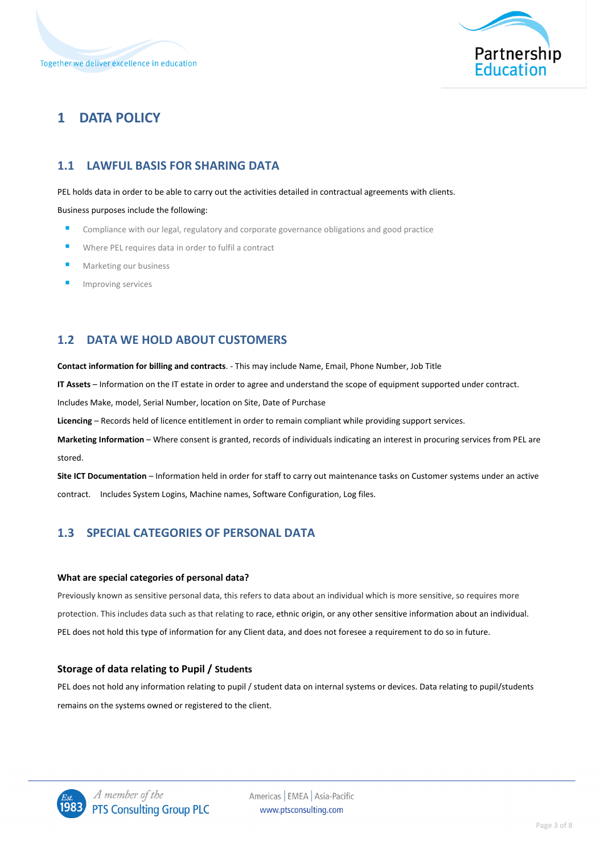

# **1 DATA POLICY**

## **1.1 LAWFUL BASIS FOR SHARING DATA**

#### PEL holds data in order to be able to carry out the activities detailed in contractual agreements with clients.

Business purposes include the following:

- Compliance with our legal, regulatory and corporate governance obligations and good practice
- Where PEL requires data in order to fulfil a contract
- Marketing our business
- Improving services

### **1.2 DATA WE HOLD ABOUT CUSTOMERS**

**Contact information for billing and contracts**. - This may include Name, Email, Phone Number, Job Title

**IT Assets** – Information on the IT estate in order to agree and understand the scope of equipment supported under contract.

Includes Make, model, Serial Number, location on Site, Date of Purchase

**Licencing** – Records held of licence entitlement in order to remain compliant while providing support services.

**Marketing Information** – Where consent is granted, records of individuals indicating an interest in procuring services from PEL are stored.

**Site ICT Documentation** – Information held in order for staff to carry out maintenance tasks on Customer systems under an active contract. Includes System Logins, Machine names, Software Configuration, Log files.

### **1.3 SPECIAL CATEGORIES OF PERSONAL DATA**

#### **What are special categories of personal data?**

Previously known as sensitive personal data, this refers to data about an individual which is more sensitive, so requires more protection. This includes data such as that relating to race, ethnic origin, or any other sensitive information about an individual. PEL does not hold this type of information for any Client data, and does not foresee a requirement to do so in future.

#### **Storage of data relating to Pupil / Students**

PEL does not hold any information relating to pupil / student data on internal systems or devices. Data relating to pupil/students remains on the systems owned or registered to the client.

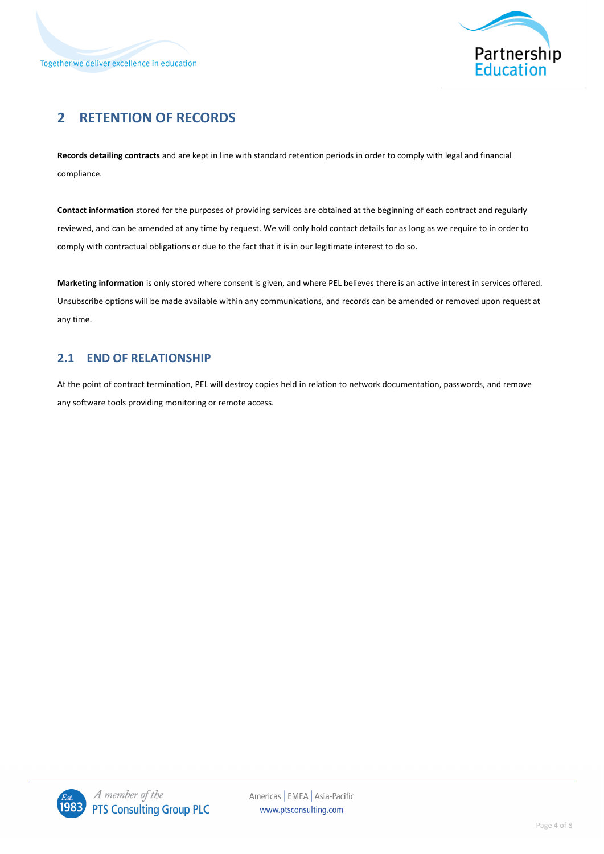

# **2 RETENTION OF RECORDS**

**Records detailing contracts** and are kept in line with standard retention periods in order to comply with legal and financial compliance.

**Contact information** stored for the purposes of providing services are obtained at the beginning of each contract and regularly reviewed, and can be amended at any time by request. We will only hold contact details for as long as we require to in order to comply with contractual obligations or due to the fact that it is in our legitimate interest to do so.

**Marketing information** is only stored where consent is given, and where PEL believes there is an active interest in services offered. Unsubscribe options will be made available within any communications, and records can be amended or removed upon request at any time.

### **2.1 END OF RELATIONSHIP**

At the point of contract termination, PEL will destroy copies held in relation to network documentation, passwords, and remove any software tools providing monitoring or remote access.

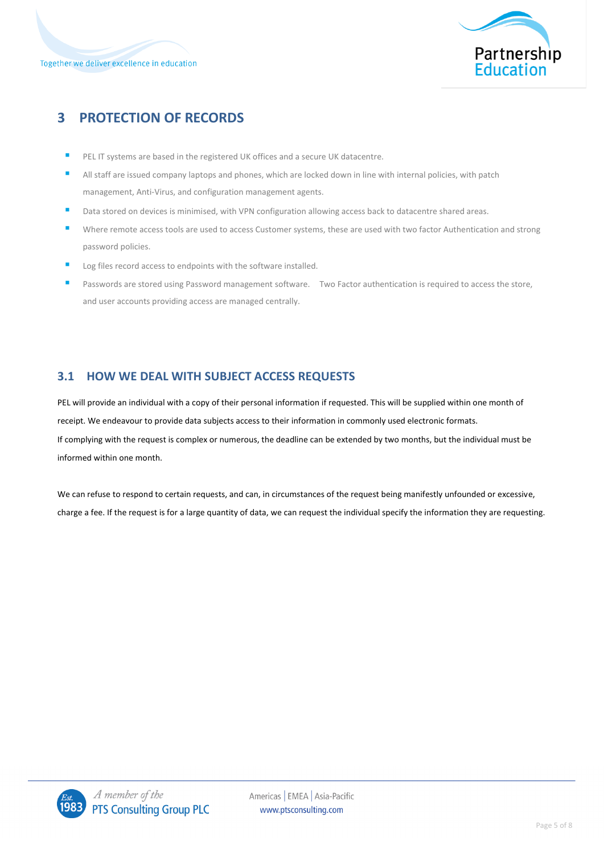



# **3 PROTECTION OF RECORDS**

- PEL IT systems are based in the registered UK offices and a secure UK datacentre.
- All staff are issued company laptops and phones, which are locked down in line with internal policies, with patch management, Anti-Virus, and configuration management agents.
- Data stored on devices is minimised, with VPN configuration allowing access back to datacentre shared areas.
- Where remote access tools are used to access Customer systems, these are used with two factor Authentication and strong password policies.
- Log files record access to endpoints with the software installed.
- Passwords are stored using Password management software. Two Factor authentication is required to access the store, and user accounts providing access are managed centrally.

### **3.1 HOW WE DEAL WITH SUBJECT ACCESS REQUESTS**

PEL will provide an individual with a copy of their personal information if requested. This will be supplied within one month of receipt. We endeavour to provide data subjects access to their information in commonly used electronic formats. If complying with the request is complex or numerous, the deadline can be extended by two months, but the individual must be informed within one month.

We can refuse to respond to certain requests, and can, in circumstances of the request being manifestly unfounded or excessive, charge a fee. If the request is for a large quantity of data, we can request the individual specify the information they are requesting.

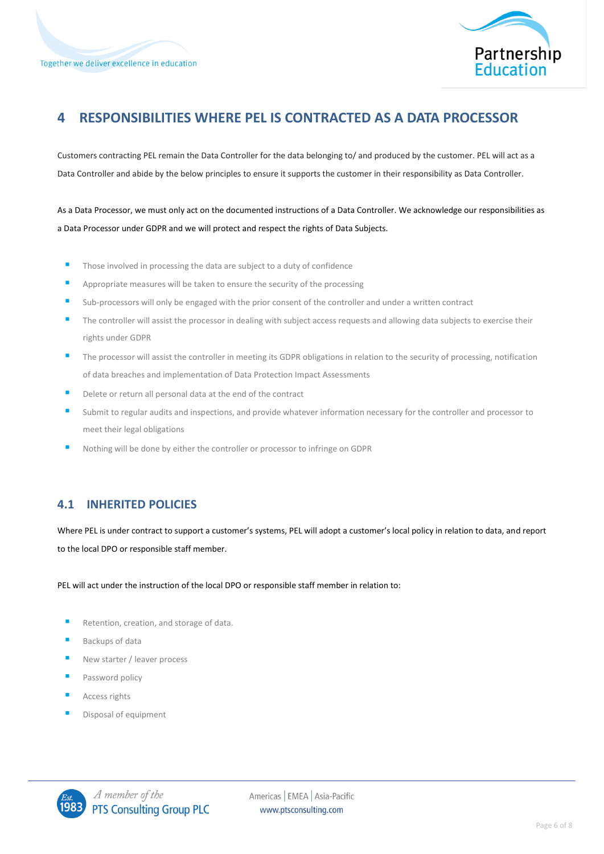

# **4 RESPONSIBILITIES WHERE PEL IS CONTRACTED AS A DATA PROCESSOR**

Customers contracting PEL remain the Data Controller for the data belonging to/ and produced by the customer. PEL will act as a Data Controller and abide by the below principles to ensure it supports the customer in their responsibility as Data Controller.

As a Data Processor, we must only act on the documented instructions of a Data Controller. We acknowledge our responsibilities as a Data Processor under GDPR and we will protect and respect the rights of Data Subjects.

- Those involved in processing the data are subject to a duty of confidence
- Appropriate measures will be taken to ensure the security of the processing
- Sub-processors will only be engaged with the prior consent of the controller and under a written contract
- The controller will assist the processor in dealing with subject access requests and allowing data subjects to exercise their rights under GDPR
- The processor will assist the controller in meeting its GDPR obligations in relation to the security of processing, notification of data breaches and implementation of Data Protection Impact Assessments
- Delete or return all personal data at the end of the contract
- Submit to regular audits and inspections, and provide whatever information necessary for the controller and processor to meet their legal obligations
- Nothing will be done by either the controller or processor to infringe on GDPR

#### **4.1 INHERITED POLICIES**

Where PEL is under contract to support a customer's systems, PEL will adopt a customer's local policy in relation to data, and report to the local DPO or responsible staff member.

PEL will act under the instruction of the local DPO or responsible staff member in relation to:

- Retention, creation, and storage of data.
- Backups of data
- New starter / leaver process
- Password policy
- Access rights
- Disposal of equipment

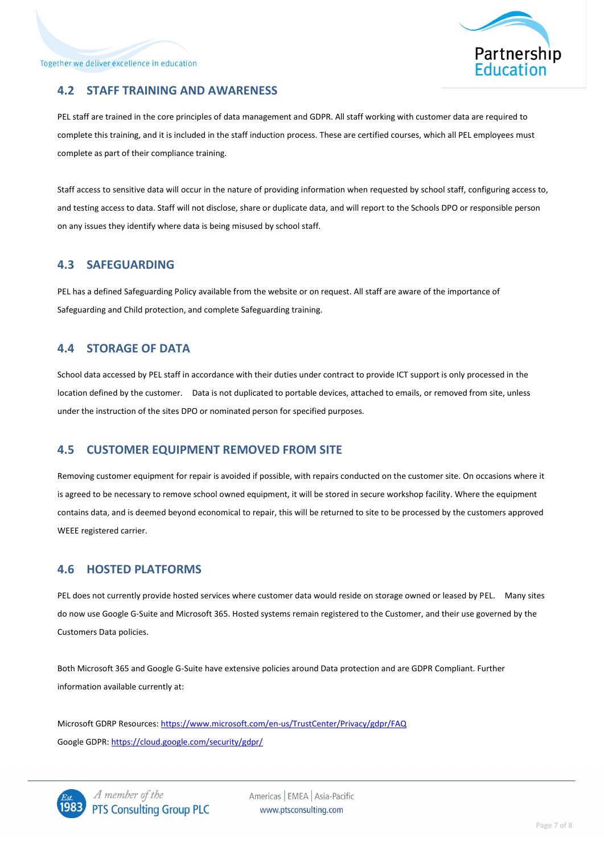

#### **4.2 STAFF TRAINING AND AWARENESS**

PEL staff are trained in the core principles of data management and GDPR. All staff working with customer data are required to complete this training, and it is included in the staff induction process. These are certified courses, which all PEL employees must complete as part of their compliance training.

Staff access to sensitive data will occur in the nature of providing information when requested by school staff, configuring access to, and testing access to data. Staff will not disclose, share or duplicate data, and will report to the Schools DPO or responsible person on any issues they identify where data is being misused by school staff.

#### **4.3 SAFEGUARDING**

PEL has a defined Safeguarding Policy available from the website or on request. All staff are aware of the importance of Safeguarding and Child protection, and complete Safeguarding training.

#### **4.4 STORAGE OF DATA**

School data accessed by PEL staff in accordance with their duties under contract to provide ICT support is only processed in the location defined by the customer. Data is not duplicated to portable devices, attached to emails, or removed from site, unless under the instruction of the sites DPO or nominated person for specified purposes.

#### **4.5 CUSTOMER EQUIPMENT REMOVED FROM SITE**

Removing customer equipment for repair is avoided if possible, with repairs conducted on the customer site. On occasions where it is agreed to be necessary to remove school owned equipment, it will be stored in secure workshop facility. Where the equipment contains data, and is deemed beyond economical to repair, this will be returned to site to be processed by the customers approved WEEE registered carrier.

#### **4.6 HOSTED PLATFORMS**

PEL does not currently provide hosted services where customer data would reside on storage owned or leased by PEL. Many sites do now use Google G-Suite and Microsoft 365. Hosted systems remain registered to the Customer, and their use governed by the Customers Data policies.

Both Microsoft 365 and Google G-Suite have extensive policies around Data protection and are GDPR Compliant. Further information available currently at:

Microsoft GDRP Resources[: https://www.microsoft.com/en-us/TrustCenter/Privacy/gdpr/FAQ](https://www.microsoft.com/en-us/TrustCenter/Privacy/gdpr/FAQ) Google GDPR:<https://cloud.google.com/security/gdpr/>